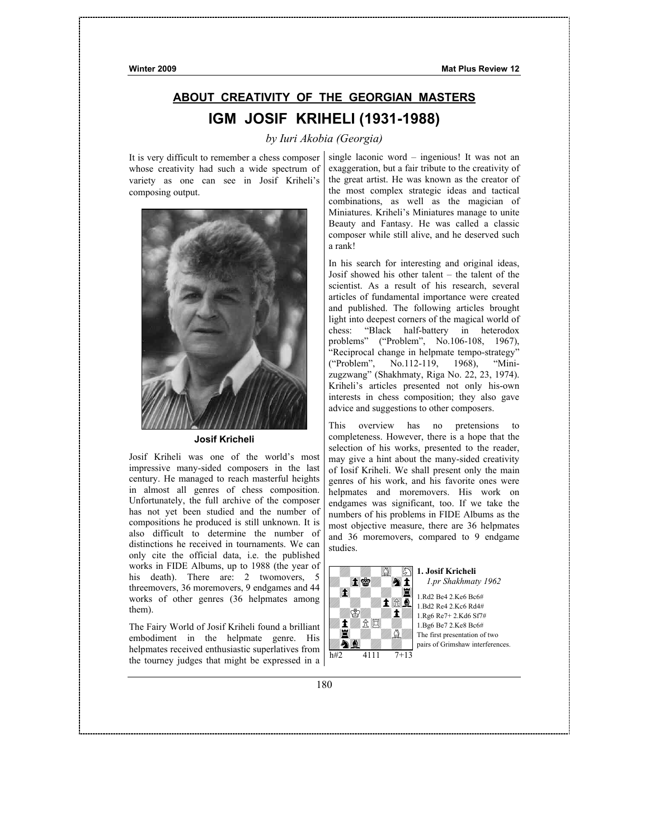# **ABOUT CREATIVITY OF THE GEORGIAN MASTERS IGM JOSIF KRIHELI (1931-1988)**

# *by Iuri Akobia (Georgia)*

It is very difficult to remember a chess composer whose creativity had such a wide spectrum of variety as one can see in Josif Kriheli's composing output.



**Josif Kricheli** 

Josif Kriheli was one of the world's most impressive many-sided composers in the last century. He managed to reach masterful heights in almost all genres of chess composition. Unfortunately, the full archive of the composer has not yet been studied and the number of compositions he produced is still unknown. It is also difficult to determine the number of distinctions he received in tournaments. We can only cite the official data, i.e. the published works in FIDE Albums, up to 1988 (the year of his death). There are: 2 twomovers, 5 threemovers, 36 moremovers, 9 endgames and 44 works of other genres (36 helpmates among them).

The Fairy World of Josif Kriheli found a brilliant embodiment in the helpmate genre. His helpmates received enthusiastic superlatives from the tourney judges that might be expressed in a

single laconic word – ingenious! It was not an exaggeration, but a fair tribute to the creativity of the great artist. He was known as the creator of the most complex strategic ideas and tactical combinations, as well as the magician of Miniatures. Kriheli's Miniatures manage to unite Beauty and Fantasy. He was called a classic composer while still alive, and he deserved such a rank!

In his search for interesting and original ideas, Josif showed his other talent – the talent of the scientist. As a result of his research, several articles of fundamental importance were created and published. The following articles brought light into deepest corners of the magical world of chess: "Black half-battery in heterodox problems" ("Problem", No.106-108, 1967), "Reciprocal change in helpmate tempo-strategy" ("Problem", No.112-119, 1968), "Minizugzwang" (Shakhmaty, Riga No. 22, 23, 1974). Kriheli's articles presented not only his-own interests in chess composition; they also gave advice and suggestions to other composers.

This overview has no pretensions to completeness. However, there is a hope that the selection of his works, presented to the reader, may give a hint about the many-sided creativity of Iosif Kriheli. We shall present only the main genres of his work, and his favorite ones were helpmates and moremovers. His work on endgames was significant, too. If we take the numbers of his problems in FIDE Albums as the most objective measure, there are 36 helpmates and 36 moremovers, compared to 9 endgame studies.



**1. Josif Kricheli** *1.pr Shakhmaty 1962* 1.Rd2 Be4 2.Ke6 Bc6#

1.Bd2 Re4 2.Kc6 Rd4# 1.Rg6 Re7+ 2.Kd6 Sf7# 1.Bg6 Be7 2.Ke8 Bc6# The first presentation of two pairs of Grimshaw interferences.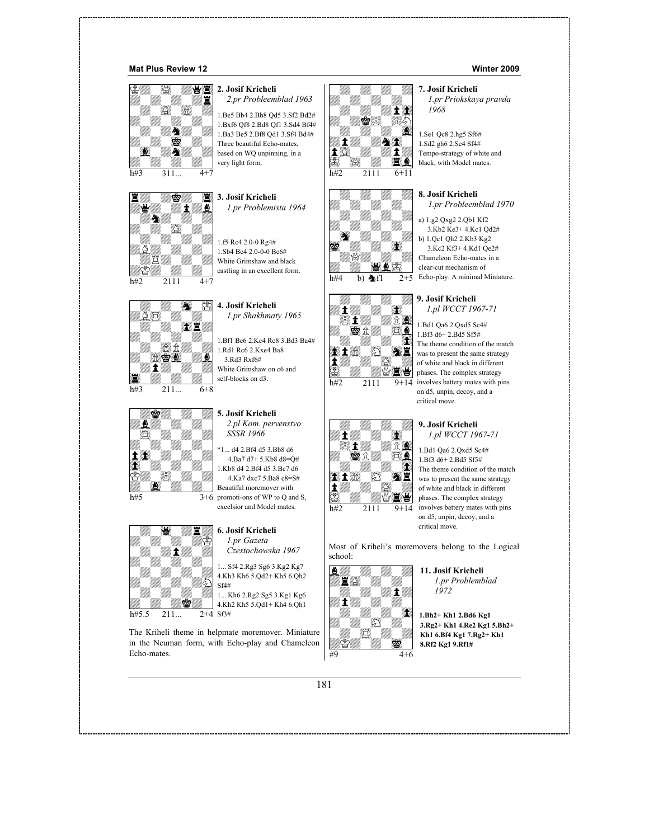#### **Mat Plus Review 12 Winter 2009**





 $h#3$  211...  $6+8$  $| \rangle \rangle$ |||||||| |||||||| ||||||||  $\pi$   $\pi$ 101 -|||||||| |||||||| £¤£¤£¬£1¤mX£¤£¤££¤£¤£¼Y¤¤£¤£¤£¤££¤£º¹¤£¤¤£º2p£¤o£¤»¤£¤£¤Z£¤£¤£¤£





#### **2. Josif Kricheli** *2.pr Probleemblad 1963*

1.Be5 Bb4 2.Bb8 Qd5 3.Sf2 Bd2# 1.Bxf6 Qf8 2.Bd8 Qf1 3.Sd4 Bf4# 1.Ba3 Be5 2.Bf8 Qd1 3.Sf4 Bd4# Three beautiful Echo-mates, based on WQ unpinning, in a very light form.

**3. Josif Kricheli** *1.pr Problemista 1964*

1.f5 Rc4 2.0-0 Rg4# 1.Sb4 Bc4 2.0-0-0 Be6# White Grimshaw and black castling in an excellent form.

**4. Josif Kricheli** *1.pr Shakhmaty 1965*

1.Bf1 Bc6 2.Kc4 Rc8 3.Bd3 Ba4# 1.Rd1 Rc6 2.Kxe4 Ba8 3.Rd3 Rxf6# White Grimshaw on c6 and self-blocks on d3.

- **5. Josif Kricheli** *2.pl Kom. pervenstvo SSSR 1966*
- h#5 3+6 promoti-ons of WP to Q and S, \*1... d4 2.Bf4 d5 3.Bb8 d6 4.Ba7 d7+ 5.Kb8 d8=Q# 1.Kb8 d4 2.Bf4 d5 3.Bc7 d6 4.Ka7 dxc7 5.Ba8 c8=S# Beautiful moremover with excelsior and Model mates.

## **6. Josif Kricheli**

*1.pr Gazeta Czestochowska 1967*

1... Sf4 2.Rg3 Sg6 3.Kg2 Kg7 4.Kh3 Kh6 5.Qd2+ Kh5 6.Qh2 Sf4#

1... Kh6 2.Rg2 Sg5 3.Kg1 Kg6 4.Kh2 Kh5 5.Qd1+ Kh4 6.Qh1

The Kriheli theme in helpmate moremover. Miniature in the Neuman form, with Echo-play and Chameleon Echo-mates.









# **7. Josif Kricheli**

*1.pr Priokskaya pravda 1968*

1.Se1 Qc8 2.hg5 Sf6# 1.Sd2 gh6 2.Se4 Sf4# Tempo-strategy of white and black, with Model mates.

#### **8. Josif Kricheli**

*1.pr Probleemblad 1970*

a) 1.g2 Qxg2 2.Qb1 Kf2 3.Kb2 Ke3+ 4.Kc1 Qd2# b) 1.Qc1 Qh2 2.Kb3 Kg2 3.Kc2 Kf3+ 4.Kd1 Qe2# Chameleon Echo-mates in a clear-cut mechanism of  $\overline{2+5}$  Echo-play. A minimal Miniature.



1.Bd1 Qa6 2.Qxd5 Sc4# 1.Bf3 d6+ 2.Bd5 Sf5# The theme condition of the match was to present the same strategy of white and black in different phases. The complex strategy involves battery mates with pins on d5, unpin, decoy, and a critical move.

#### **9. Josif Kricheli** *1.pl WCCT 1967-71*

1.Bd1 Qa6 2.Qxd5 Sc4# 1.Bf3 d6+ 2.Bd5 Sf5# The theme condition of the match was to present the same strategy of white and black in different phases. The complex strategy involves battery mates with pins on d5, unpin, decoy, and a critical move.

Most of Kriheli's moremovers belong to the Logical school:



**11. Josif Kricheli** *1.pr Problemblad 1972*

**1.Bh2+ Kh1 2.Bd6 Kg1 3.Rg2+ Kh1 4.Re2 Kg1 5.Bh2+ Kh1 6.Bf4 Kg1 7.Rg2+ Kh1 8.Rf2 Kg1 9.Rf1#**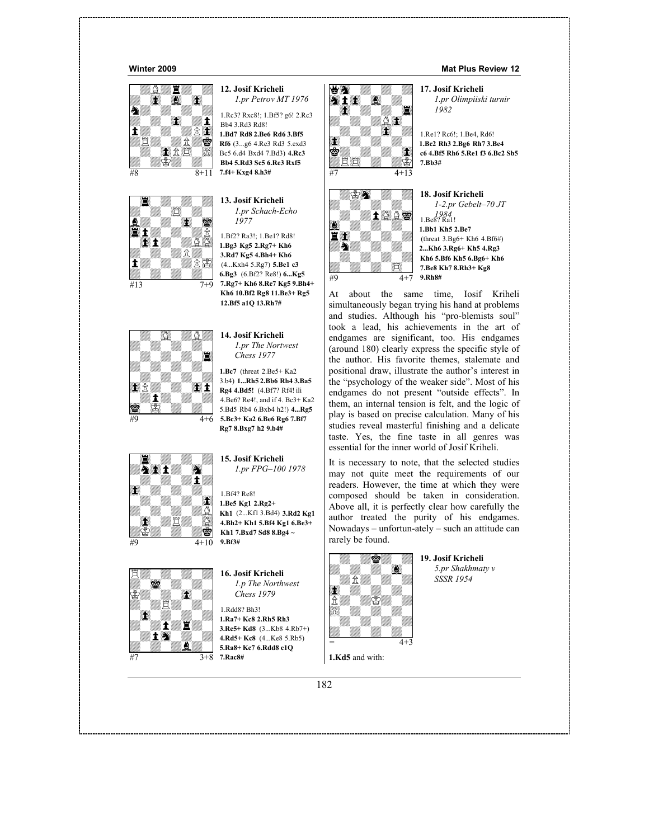







## **12. Josif Kricheli** *1.pr Petrov MT 1976*

1.Rc3? Rxc8!; 1.Bf5? g6! 2.Rc3 Bb4 3.Rd3 Rd8!

**1.Bd7 Rd8 2.Be6 Rd6 3.Bf5 Rf6** (3...g6 4.Re3 Rd3 5.exd3 Bc5 6.d4 Bxd4 7.Bd3) **4.Rc3 Bb4 5.Rd3 Sc5 6.Re3 Rxf5 7.f4+ Kxg4 8.h3#**

**13. Josif Kricheli** *1.pr Schach-Echo 1977*

1.Bf2? Ra3!; 1.Be1? Rd8! **1.Bg3 Kg5 2.Rg7+ Kh6 3.Rd7 Kg5 4.Bh4+ Kh6** (4...Kxh4 5.Rg7) **5.Be1 c3 6.Bg3** (6.Bf2? Re8!) **6...Kg5 7.Rg7+ Kh6 8.Re7 Kg5 9.Bh4+ Kh6 10.Bf2 Rg8 11.Be3+ Rg5 12.Bf5 a1Q 13.Rh7#**

**14. Josif Kricheli** *1.pr The Nortwest Chess 1977*

#9 4+6 **5.Bc3+ Ka2 6.Be6 Rg6 7.Bf7 1.Bc7** (threat 2.Be5+ Ka2 3.b4) **1...Rh5 2.Bb6 Rh4 3.Ba5 Rg4 4.Bd5!** (4.Bf7? Rf4! ili 4.Be6? Re4!, and if 4. Bc3+ Ka2 5.Bd5 Rb4 6.Bxb4 h2!) **4...Rg5 Rg7 8.Bxg7 h2 9.b4#**

|||||||| **AII** A  $|1|$  $\sum_{i=1}^n\frac{1}{(i-1)!}\prod_{i=1}^n\frac{1}{(i-1)!}\prod_{i=1}^n\frac{1}{(i-1)!}\prod_{i=1}^n\frac{1}{(i-1)!}\prod_{i=1}^n\frac{1}{(i-1)!}\prod_{i=1}^n\frac{1}{(i-1)!}\prod_{i=1}^n\frac{1}{(i-1)!}\prod_{i=1}^n\frac{1}{(i-1)!}\prod_{i=1}^n\frac{1}{(i-1)!}\prod_{i=1}^n\frac{1}{(i-1)!}\prod_{i=1}^n\frac{1}{(i-1)!}\prod_{i=1}^n\frac$ |||||||| |||||||| |||||||| |||||||| £Z£¤£¤£¤¤«¼»¤£¬££¤£¤£¤»¤¼£¤£¤£¤££¤£¤£¤£¼¤£¤£¤£¤m£¼£¤W¤£n¤0¤£¤£¤2

 $\#9$  4+10



### **15. Josif Kricheli** *1.pr FPG–100 1978*

1.Bf4? Re8! **1.Be5 Kg1 2.Rg2+ Kh1** (2...Kf1 3.Bd4) **3.Rd2 Kg1 4.Bh2+ Kh1 5.Bf4 Kg1 6.Be3+ Kh1 7.Bxd7 Sd8 8.Bg4 ~ 9.Bf3#**

**16. Josif Kricheli** *1.p The Northwest Chess 1979*

1.Rdd8? Bh3! **1.Ra7+ Kc8 2.Rh5 Rh3 3.Rc5+ Kd8** (3...Kb8 4.Rb7+) **4.Rd5+ Kc8** (4...Ke8 5.Rb5) **5.Ra8+ Kc7 6.Rdd8 c1Q**





*1.pr Olimpiiski turnir 1982*

1.Re1? Rc6!; 1.Be4, Rd6! **1.Bc2 Rh3 2.Bg6 Rh7 3.Be4 c6 4.Bf5 Rh6 5.Re1 f3 6.Bc2 Sb5 7.Bb3#**

| Ø |      | 18            |
|---|------|---------------|
|   | 1000 | 1.            |
|   |      | 1.1           |
| Ą |      | (t)<br>2      |
|   |      | K<br>7.       |
|   |      | 9.<br>$4 + 7$ |

**18. Josif Kricheli** *1-2.pr Gebelt–70 JT 1984* 1.Be8? Ra1! **1.Bb1 Kh5 2.Be7** hreat  $3.Bg6+ Kh6 4.Bf6#$ **2...Kh6 3.Rg6+ Kh5 4.Rg3 Kh6 5.Bf6 Kh5 6.Bg6+ Kh6 7.Be8 Kh7 8.Rh3+ Kg8 9.Rh8#**

W¤£¤£¤£¤¤£3£¤£¤£0¤£¤£¼£¤¤£¤W¤£¤££¼£¤£¤£¤¤£¤»¤Y¤££¤»¬£¤£¤¤£¤£¤o¤£**17. Josif Kricheli** At about the same time, Iosif Kriheli simultaneously began trying his hand at problems and studies. Although his "pro-blemists soul" took a lead, his achievements in the art of endgames are significant, too. His endgames (around 180) clearly express the specific style of the author. His favorite themes, stalemate and positional draw, illustrate the author's interest in the "psychology of the weaker side". Most of his endgames do not present "outside effects". In them, an internal tension is felt, and the logic of play is based on precise calculation. Many of his studies reveal masterful finishing and a delicate taste. Yes, the fine taste in all genres was essential for the inner world of Josif Kriheli.

It is necessary to note, that the selected studies may not quite meet the requirements of our readers. However, the time at which they were composed should be taken in consideration. Above all, it is perfectly clear how carefully the author treated the purity of his endgames. Nowadays – unfortun-ately – such an attitude can rarely be found.



**19. Josif Kricheli** *5.pr Shakhmaty v SSSR 1954*